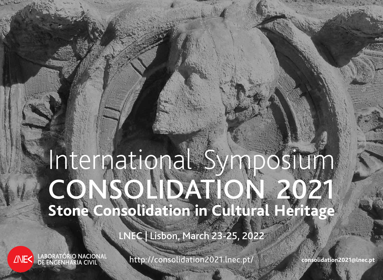# International Symposium CONSOLIDATION 2021 **Stone Consolidation in Cultural Heritage**

LNEC | Lisbon, March 23-25, 2022

LABORATÓRIO NACIONAL<br>LOE ENGENHARIA CIVIL **ANES** 

http://consolidation2021.lnec.pt/ **consolidation2021@lnec.pt**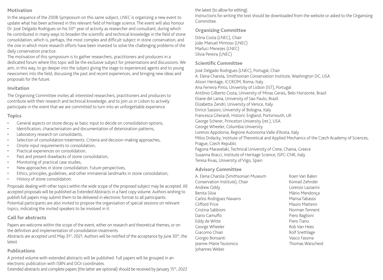#### **Motivation**

In the sequence of the 2008 Symposium on this same subject, LNEC is organizing a new event to update what has been achieved in this relevant field of heritage science. The event will also honour Dr. José Delgado Rodrigues on his 50<sup>th</sup> year of activity as researcher and consultant, during which he contributed in many ways to broaden the scientific and technical knowledge in the field of stone consolidation, which is, perhaps, the most complex and difficult subject in stone conservation, and the one in which more research efforts have been invested to solve the challenging problems of the daily conservation practice.

The motivation of this symposium is to gather researchers, practitioners and producers in a dedicated forum where this topic will be the exclusive subject for presentations and discussions. We aim, in this way, to go deeper into the subject giving the stage to experienced agents and to young newcomers into the field, discussing the past and recent experiences, and bringing new ideas and proposals for the future.

#### **Invitation**

The Organising Committee invites all interested researchers, practitioners and producers to contribute with their research and technical knowledge, and to join us in Lisbon to actively participate in the event that we are committed to turn into an unforgettable experience.

# **Topics**

- General aspects on stone decay as basic input to decide on consolidation options,
- Identification, characterisation and documentation of deterioration patterns,
- Laboratory research on consolidants,
- Selection of consolidation treatments. Criteria and decision-making approaches,
- Onsite input requirements to consolidation,
- • Practical experiences on consolidation,
- Past and present drawbacks of stone consolidation,
- Monitoring of practical case studies,
- New approaches in stone consolidation. Future perspectives,
- Ethics, principles, guidelines, and other immaterial landmarks in stone consolidation,
- History of stone consolidation.

Proposals dealing with other topics within the wide scope of the proposed subject may be accepted. All accepted proposals will be published as Extended Abstracts in a hard copy volume. Authors wishing to publish full papers may submit them to be delivered in electronic format to all participants. Potential participants are also invited to propose the organisation of special sessions on relevant topics, indicating the invited speakers to be involved in it.

# **Call for abstracts**

Papers are welcome within the scope of the event, either on research and theoretical themes, or on the definition and implementation of consolidation treatments.

Abstracts are accepted until May 31<sup>st</sup>, 2021. Authors will be notified of the acceptance by June 30<sup>th</sup>, the latest.

#### **Publications**

A printed volume with extended abstracts will be published. Full papers will be grouped in an electronic publication with ISBN and DOI coordinates.

Extended abstracts and complete papers (the latter are optional) should be received by January 15<sup>th</sup>, 2022

the latest (to allow for editing).

Instructions for writing the text should be downloaded from the website or asked to the Organising Committee.

# **Organizing Committee**

Dória Costa (LNEC), Chair João Manuel Mimoso (LNEC) Marluci Menezes (LNEC) Sílvia Pereira (LNEC)

# **Scientific Committee**

José Delgado Rodrigues (LNEC), Portugal, Chair

A. Elena Charola, Smithsonian Conservation Institute, Washington DC, USA Alison Heritage, ICCROM, Roma, Italy Ana Ferreira Pinto, University of Lisbon (IST), Portugal Antônio Gilberto Costa, University of Minas Gerais, Belo Horizonte, Brazil Eliane del Lama, University of Sao Paulo, Brazil Elizabetta Zendri, University of Venice, Italy Enrico Sassoni, University of Bologna, Italy Francesca Gherardi, Historic England, Portsmouth, UK George Scherer, Princeton University (ret.), USA George Wheeler, Columbia University Lorenzo Appolonia, Regione Autonoma Valle d'Aosta, Italy Milos Drdacky, Institute of Theoretical and Applied Mechanics of the Czech Academy of Sciences, Prague, Czech Republic Pagona Maravelaki, Technical University of Crete, Chania, Greece Susanna Bracci, Institute of Heritage Science, ISPC-CNR, Italy Teresa Rivas, University of Vigo, Spain

#### **Advisory Committee**

A. Elena Charola (Smithsonian Museum Conservation Institute), Chair Andrew Oddy Benita Silva Carlos Rodriguez Navarro Clifford Price Cristina Sabbioni Dario Camuffo Eddy de Witte George Wheeler Giacomo Chiari Giorgio Bonsanti Jeanne-Marie Teutonico Johannes Weber

Koen Van Balen Konrad Zehnder Lorenzo Lazzarini Mário Mendonça Marisa Tabasso Mauro Matteini Norman Tennent Piero Baglioni Piero Tiano Rob Van Hees Rolf Snethlage Vasco Fassina Thomas Warscheid